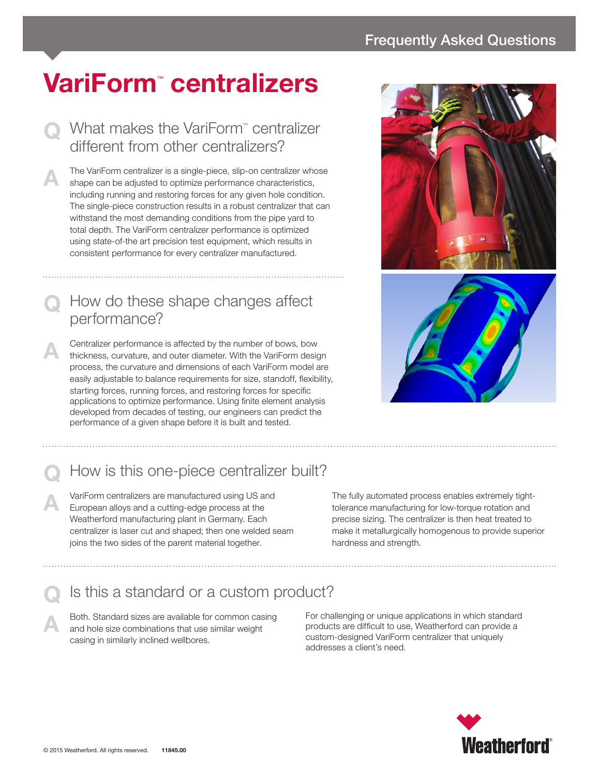# **VariForm**™  **centralizers**

#### ■ What makes the VariForm™ centralizer different from other centralizers?

The VariForm centralizer is a single-piece, slip-on centralizer whose shape can be adjusted to optimize performance characteristics, including running and restoring forces for any given hole condition. The single-piece construction results in a robust centralizer that can withstand the most demanding conditions from the pipe yard to total depth. The VariForm centralizer performance is optimized using state-of-the art precision test equipment, which results in consistent performance for every centralizer manufactured.

### **Q** How do these shape changes affect performance?

**A** Centralizer performance is affected by the number of bows, bow thickness, curvature, and outer diameter. With the VariForm design process, the curvature and dimensions of each VariForm model are easily adjustable to balance requirements for size, standoff, flexibility, starting forces, running forces, and restoring forces for specific applications to optimize performance. Using finite element analysis developed from decades of testing, our engineers can predict the performance of a given shape before it is built and tested.





## How is this one-piece centralizer built?

**A** VariForm centralizers are manufactured using US and European alloys and a cutting-edge process at the Weatherford manufacturing plant in Germany. Each centralizer is laser cut and shaped; then one welded seam joins the two sides of the parent material together.

The fully automated process enables extremely tighttolerance manufacturing for low-torque rotation and precise sizing. The centralizer is then heat treated to make it metallurgically homogenous to provide superior hardness and strength.

#### **Q** Is this a standard or a custom product?

A Both. Standard sizes are available for common casing<br>and hole size combinations that use similar weight casing in similarly inclined wellbores.

For challenging or unique applications in which standard products are difficult to use, Weatherford can provide a custom-designed VariForm centralizer that uniquely addresses a client's need.